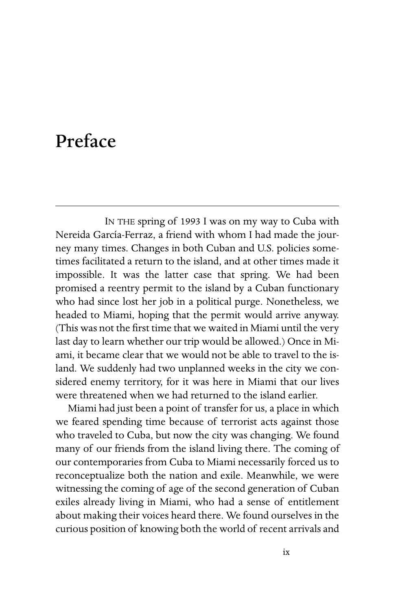# Preface

IN THE spring of 1993 I was on my way to Cuba with Nereida García-Ferraz, a friend with whom I had made the journey many times. Changes in both Cuban and U.S. policies sometimes facilitated a return to the island, and at other times made it impossible. It was the latter case that spring. We had been promised a reentry permit to the island by a Cuban functionary who had since lost her job in a political purge. Nonetheless, we headed to Miami, hoping that the permit would arrive anyway. (This was not the first time that we waited in Miami until the very last day to learn whether our trip would be allowed.) Once in Miami, it became clear that we would not be able to travel to the island. We suddenly had two unplanned weeks in the city we considered enemy territory, for it was here in Miami that our lives were threatened when we had returned to the island earlier.

Miami had just been a point of transfer for us, a place in which we feared spending time because of terrorist acts against those who traveled to Cuba, but now the city was changing. We found many of our friends from the island living there. The coming of our contemporaries from Cuba to Miami necessarily forced us to reconceptualize both the nation and exile. Meanwhile, we were witnessing the coming of age of the second generation of Cuban exiles already living in Miami, who had a sense of entitlement about making their voices heard there. We found ourselves in the curious position of knowing both the world of recent arrivals and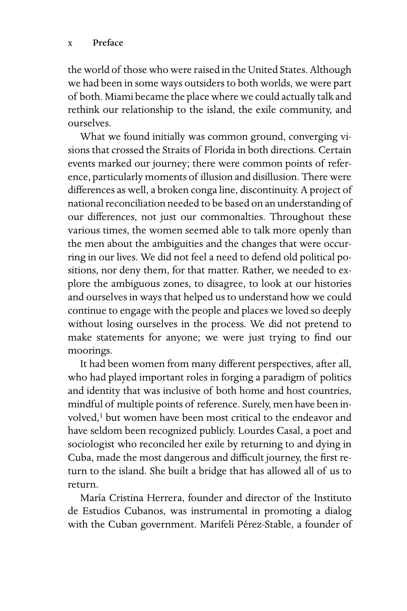the world of those who were raised in the United States. Although we had been in some ways outsiders to both worlds, we were part of both. Miami became the place where we could actually talk and rethink our relationship to the island, the exile community, and ourselves.

What we found initially was common ground, converging visions that crossed the Straits of Florida in both directions. Certain events marked our journey; there were common points of reference, particularly moments of illusion and disillusion. There were differences as well, a broken conga line, discontinuity. A project of national reconciliation needed to be based on an understanding of our differences, not just our commonalties. Throughout these various times, the women seemed able to talk more openly than the men about the ambiguities and the changes that were occurring in our lives. We did not feel a need to defend old political positions, nor deny them, for that matter. Rather, we needed to explore the ambiguous zones, to disagree, to look at our histories and ourselves in ways that helped us to understand how we could continue to engage with the people and places we loved so deeply without losing ourselves in the process. We did not pretend to make statements for anyone; we were just trying to find our moorings.

It had been women from many different perspectives, after all, who had played important roles in forging a paradigm of politics and identity that was inclusive of both home and host countries, mindful of multiple points of reference. Surely, men have been involved,<sup>1</sup> but women have been most critical to the endeavor and have seldom been recognized publicly. Lourdes Casal, a poet and sociologist who reconciled her exile by returning to and dying in Cuba, made the most dangerous and difficult journey, the first return to the island. She built a bridge that has allowed all of us to return.

María Cristina Herrera, founder and director of the Instituto de Estudios Cubanos, was instrumental in promoting a dialog with the Cuban government. Marifeli Pérez-Stable, a founder of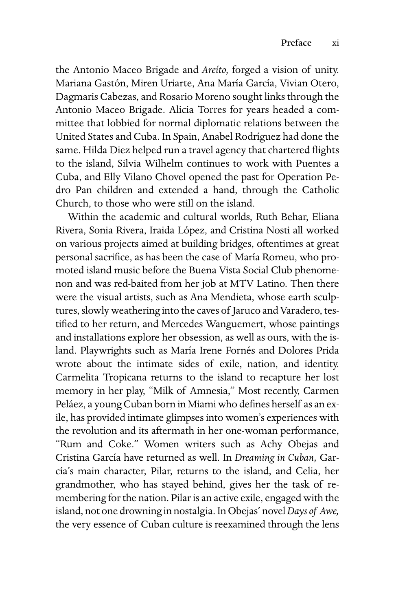the Antonio Maceo Brigade and *Areíto,* forged a vision of unity. Mariana Gastón, Miren Uriarte, Ana María García, Vivian Otero, Dagmaris Cabezas, and Rosario Moreno sought links through the Antonio Maceo Brigade. Alicia Torres for years headed a committee that lobbied for normal diplomatic relations between the United States and Cuba. In Spain, Anabel Rodríguez had done the same. Hilda Diez helped run a travel agency that chartered flights to the island, Silvia Wilhelm continues to work with Puentes a Cuba, and Elly Vilano Chovel opened the past for Operation Pedro Pan children and extended a hand, through the Catholic Church, to those who were still on the island.

Within the academic and cultural worlds, Ruth Behar, Eliana Rivera, Sonia Rivera, Iraida López, and Cristina Nosti all worked on various projects aimed at building bridges, oftentimes at great personal sacrifice, as has been the case of María Romeu, who promoted island music before the Buena Vista Social Club phenomenon and was red-baited from her job at MTV Latino. Then there were the visual artists, such as Ana Mendieta, whose earth sculptures, slowly weathering into the caves of Jaruco and Varadero, testified to her return, and Mercedes Wanguemert, whose paintings and installations explore her obsession, as well as ours, with the island. Playwrights such as María Irene Fornés and Dolores Prida wrote about the intimate sides of exile, nation, and identity. Carmelita Tropicana returns to the island to recapture her lost memory in her play, "Milk of Amnesia," Most recently, Carmen Peláez, a young Cuban born in Miami who defines herself as an exile, has provided intimate glimpses into women's experiences with the revolution and its aftermath in her one-woman performance, "Rum and Coke." Women writers such as Achy Obejas and Cristina García have returned as well. In *Dreaming in Cuban,* García's main character, Pilar, returns to the island, and Celia, her grandmother, who has stayed behind, gives her the task of remembering for the nation. Pilar is an active exile, engaged with the island, not one drowning in nostalgia. In Obejas' novel *Days of Awe,* the very essence of Cuban culture is reexamined through the lens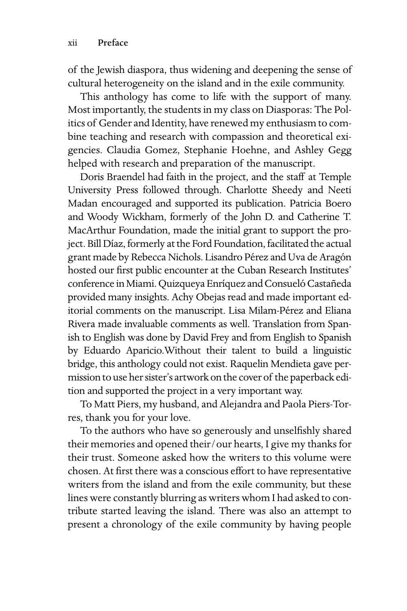of the Jewish diaspora, thus widening and deepening the sense of cultural heterogeneity on the island and in the exile community.

This anthology has come to life with the support of many. Most importantly, the students in my class on Diasporas: The Politics of Gender and Identity, have renewed my enthusiasm to combine teaching and research with compassion and theoretical exigencies. Claudia Gomez, Stephanie Hoehne, and Ashley Gegg helped with research and preparation of the manuscript.

Doris Braendel had faith in the project, and the staff at Temple University Press followed through. Charlotte Sheedy and Neeti Madan encouraged and supported its publication. Patricia Boero and Woody Wickham, formerly of the John D. and Catherine T. MacArthur Foundation, made the initial grant to support the project. Bill Díaz, formerly at the Ford Foundation, facilitated the actual grant made by Rebecca Nichols. Lisandro Pérez and Uva de Aragón hosted our first public encounter at the Cuban Research Institutes' conference in Miami. Quizqueya Enríquez and Consueló Castañeda provided many insights. Achy Obejas read and made important editorial comments on the manuscript. Lisa Milam-Pérez and Eliana Rivera made invaluable comments as well. Translation from Spanish to English was done by David Frey and from English to Spanish by Eduardo Aparicio.Without their talent to build a linguistic bridge, this anthology could not exist. Raquelin Mendieta gave permission to use her sister's artwork on the cover of the paperback edition and supported the project in a very important way.

To Matt Piers, my husband, and Alejandra and Paola Piers-Torres, thank you for your love.

To the authors who have so generously and unselfishly shared their memories and opened their/our hearts, I give my thanks for their trust. Someone asked how the writers to this volume were chosen. At first there was a conscious effort to have representative writers from the island and from the exile community, but these lines were constantly blurring as writers whom I had asked to contribute started leaving the island. There was also an attempt to present a chronology of the exile community by having people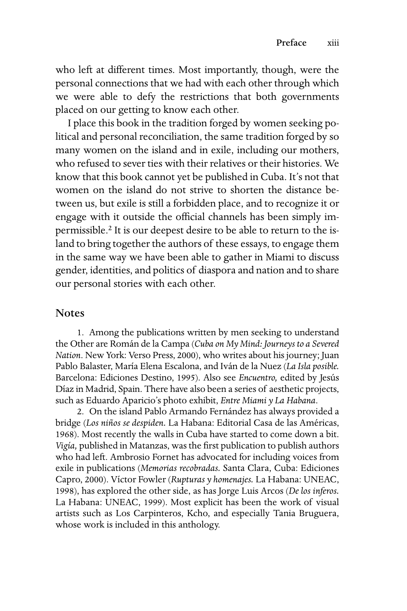who left at different times. Most importantly, though, were the personal connections that we had with each other through which we were able to defy the restrictions that both governments placed on our getting to know each other.

I place this book in the tradition forged by women seeking political and personal reconciliation, the same tradition forged by so many women on the island and in exile, including our mothers, who refused to sever ties with their relatives or their histories. We know that this book cannot yet be published in Cuba. It's not that women on the island do not strive to shorten the distance between us, but exile is still a forbidden place, and to recognize it or engage with it outside the official channels has been simply impermissible.2 It is our deepest desire to be able to return to the island to bring together the authors of these essays, to engage them in the same way we have been able to gather in Miami to discuss gender, identities, and politics of diaspora and nation and to share our personal stories with each other.

### **Notes**

1. Among the publications written by men seeking to understand the Other are Román de la Campa (*Cuba on My Mind: Journeys to a Severed Nation*. New York: Verso Press, 2000), who writes about his journey; Juan Pablo Balaster, María Elena Escalona, and Iván de la Nuez (*La Isla posible.* Barcelona: Ediciones Destino, 1995). Also see *Encuentro,* edited by Jesús Díaz in Madrid, Spain. There have also been a series of aesthetic projects, such as Eduardo Aparicio's photo exhibit, *Entre Miami y La Habana*.

2. On the island Pablo Armando Fernández has always provided a bridge (*Los niños se despiden.* La Habana: Editorial Casa de las Américas, 1968). Most recently the walls in Cuba have started to come down a bit. *Vigía,* published in Matanzas, was the first publication to publish authors who had left. Ambrosio Fornet has advocated for including voices from exile in publications (*Memorias recobradas.* Santa Clara, Cuba: Ediciones Capro, 2000). Víctor Fowler (*Rupturas y homenajes.* La Habana: UNEAC, 1998), has explored the other side, as has Jorge Luis Arcos (*De los inferos.* La Habana: UNEAC, 1999). Most explicit has been the work of visual artists such as Los Carpinteros, Kcho, and especially Tania Bruguera, whose work is included in this anthology.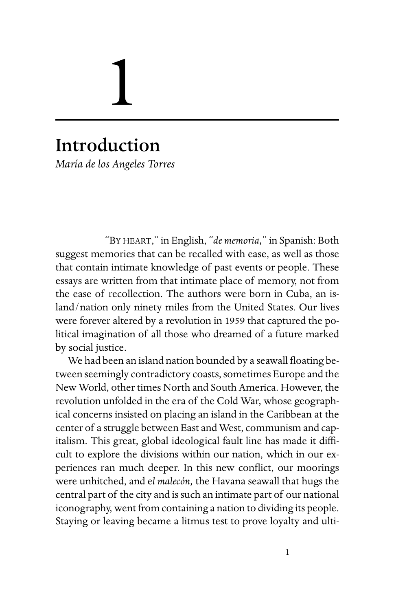# 1

# Introduction

*María de los Angeles Torres*

"BY HEART," in English, "*de memoria,*" in Spanish: Both suggest memories that can be recalled with ease, as well as those that contain intimate knowledge of past events or people. These essays are written from that intimate place of memory, not from the ease of recollection. The authors were born in Cuba, an island/nation only ninety miles from the United States. Our lives were forever altered by a revolution in 1959 that captured the political imagination of all those who dreamed of a future marked by social justice.

We had been an island nation bounded by a seawall floating between seemingly contradictory coasts, sometimes Europe and the New World, other times North and South America. However, the revolution unfolded in the era of the Cold War, whose geographical concerns insisted on placing an island in the Caribbean at the center of a struggle between East and West, communism and capitalism. This great, global ideological fault line has made it difficult to explore the divisions within our nation, which in our experiences ran much deeper. In this new conflict, our moorings were unhitched, and e*l malecón,* the Havana seawall that hugs the central part of the city and is such an intimate part of our national iconography, went from containing a nation to dividing its people. Staying or leaving became a litmus test to prove loyalty and ulti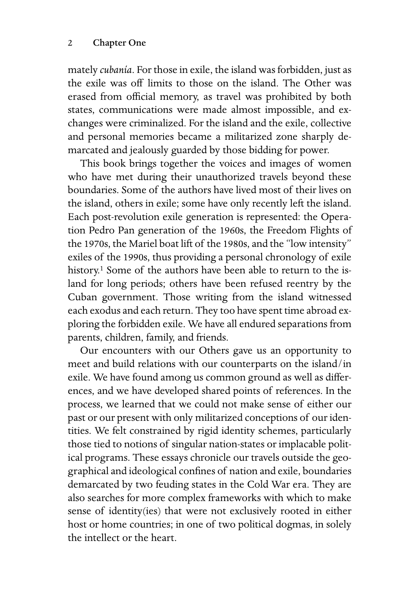mately *cubanía*. For those in exile, the island was forbidden, just as the exile was off limits to those on the island. The Other was erased from official memory, as travel was prohibited by both states, communications were made almost impossible, and exchanges were criminalized. For the island and the exile, collective and personal memories became a militarized zone sharply demarcated and jealously guarded by those bidding for power.

This book brings together the voices and images of women who have met during their unauthorized travels beyond these boundaries. Some of the authors have lived most of their lives on the island, others in exile; some have only recently left the island. Each post-revolution exile generation is represented: the Operation Pedro Pan generation of the 1960s, the Freedom Flights of the 1970s, the Mariel boat lift of the 1980s, and the "low intensity" exiles of the 1990s, thus providing a personal chronology of exile history.<sup>1</sup> Some of the authors have been able to return to the island for long periods; others have been refused reentry by the Cuban government. Those writing from the island witnessed each exodus and each return. They too have spent time abroad exploring the forbidden exile. We have all endured separations from parents, children, family, and friends.

Our encounters with our Others gave us an opportunity to meet and build relations with our counterparts on the island/in exile. We have found among us common ground as well as differences, and we have developed shared points of references. In the process, we learned that we could not make sense of either our past or our present with only militarized conceptions of our identities. We felt constrained by rigid identity schemes, particularly those tied to notions of singular nation-states or implacable political programs. These essays chronicle our travels outside the geographical and ideological confines of nation and exile, boundaries demarcated by two feuding states in the Cold War era. They are also searches for more complex frameworks with which to make sense of identity(ies) that were not exclusively rooted in either host or home countries; in one of two political dogmas, in solely the intellect or the heart.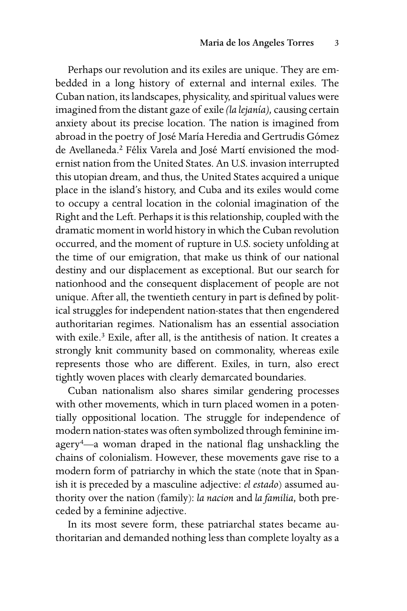Perhaps our revolution and its exiles are unique. They are embedded in a long history of external and internal exiles. The Cuban nation, its landscapes, physicality, and spiritual values were imagined from the distant gaze of exile *(la lejanía),* causing certain anxiety about its precise location. The nation is imagined from abroad in the poetry of José María Heredia and Gertrudis Gómez de Avellaneda.2 Félix Varela and José Martí envisioned the modernist nation from the United States. An U.S. invasion interrupted this utopian dream, and thus, the United States acquired a unique place in the island's history, and Cuba and its exiles would come to occupy a central location in the colonial imagination of the Right and the Left. Perhaps it is this relationship, coupled with the dramatic moment in world history in which the Cuban revolution occurred, and the moment of rupture in U.S. society unfolding at the time of our emigration, that make us think of our national destiny and our displacement as exceptional. But our search for nationhood and the consequent displacement of people are not unique. After all, the twentieth century in part is defined by political struggles for independent nation-states that then engendered authoritarian regimes. Nationalism has an essential association with exile.<sup>3</sup> Exile, after all, is the antithesis of nation. It creates a strongly knit community based on commonality, whereas exile represents those who are different. Exiles, in turn, also erect tightly woven places with clearly demarcated boundaries.

Cuban nationalism also shares similar gendering processes with other movements, which in turn placed women in a potentially oppositional location. The struggle for independence of modern nation-states was often symbolized through feminine imagery4—a woman draped in the national flag unshackling the chains of colonialism. However, these movements gave rise to a modern form of patriarchy in which the state (note that in Spanish it is preceded by a masculine adjective: *el estado*) assumed authority over the nation (family): *la nacion* and *la familia,* both preceded by a feminine adjective.

In its most severe form, these patriarchal states became authoritarian and demanded nothing less than complete loyalty as a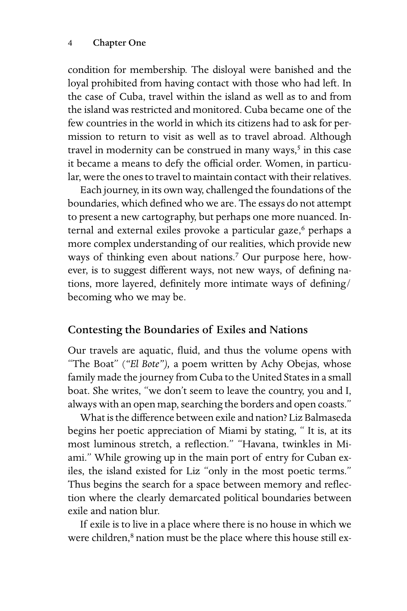condition for membership. The disloyal were banished and the loyal prohibited from having contact with those who had left. In the case of Cuba, travel within the island as well as to and from the island was restricted and monitored. Cuba became one of the few countries in the world in which its citizens had to ask for permission to return to visit as well as to travel abroad. Although travel in modernity can be construed in many ways, $5$  in this case it became a means to defy the official order. Women, in particular, were the ones to travel to maintain contact with their relatives.

Each journey, in its own way, challenged the foundations of the boundaries, which defined who we are. The essays do not attempt to present a new cartography, but perhaps one more nuanced. Internal and external exiles provoke a particular gaze,<sup>6</sup> perhaps a more complex understanding of our realities, which provide new ways of thinking even about nations.7 Our purpose here, however, is to suggest different ways, not new ways, of defining nations, more layered, definitely more intimate ways of defining/ becoming who we may be.

## Contesting the Boundaries of Exiles and Nations

Our travels are aquatic, fluid, and thus the volume opens with "The Boat" (*"El Bote"),* a poem written by Achy Obejas, whose family made the journey from Cuba to the United States in a small boat. She writes, "we don't seem to leave the country, you and I, always with an open map, searching the borders and open coasts."

What is the difference between exile and nation? Liz Balmaseda begins her poetic appreciation of Miami by stating, " It is, at its most luminous stretch, a reflection." "Havana, twinkles in Miami." While growing up in the main port of entry for Cuban exiles, the island existed for Liz "only in the most poetic terms." Thus begins the search for a space between memory and reflection where the clearly demarcated political boundaries between exile and nation blur.

If exile is to live in a place where there is no house in which we were children,<sup>8</sup> nation must be the place where this house still ex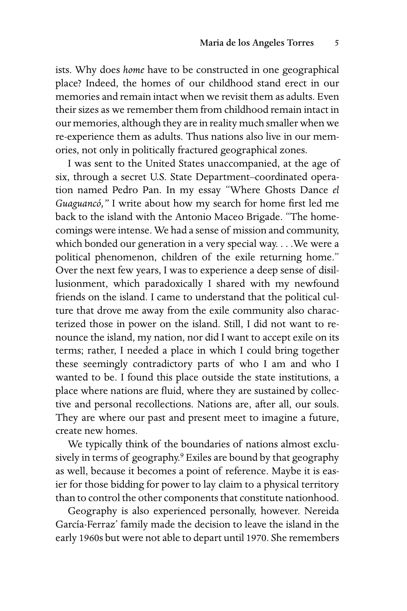ists. Why does *home* have to be constructed in one geographical place? Indeed, the homes of our childhood stand erect in our memories and remain intact when we revisit them as adults. Even their sizes as we remember them from childhood remain intact in our memories, although they are in reality much smaller when we re-experience them as adults. Thus nations also live in our memories, not only in politically fractured geographical zones.

I was sent to the United States unaccompanied, at the age of six, through a secret U.S. State Department–coordinated operation named Pedro Pan. In my essay "Where Ghosts Dance *el Guaguancó,"* I write about how my search for home first led me back to the island with the Antonio Maceo Brigade. "The homecomings were intense. We had a sense of mission and community, which bonded our generation in a very special way. . . .We were a political phenomenon, children of the exile returning home." Over the next few years, I was to experience a deep sense of disillusionment, which paradoxically I shared with my newfound friends on the island. I came to understand that the political culture that drove me away from the exile community also characterized those in power on the island. Still, I did not want to renounce the island, my nation, nor did I want to accept exile on its terms; rather, I needed a place in which I could bring together these seemingly contradictory parts of who I am and who I wanted to be. I found this place outside the state institutions, a place where nations are fluid, where they are sustained by collective and personal recollections. Nations are, after all, our souls. They are where our past and present meet to imagine a future, create new homes.

We typically think of the boundaries of nations almost exclusively in terms of geography.<sup>9</sup> Exiles are bound by that geography as well, because it becomes a point of reference. Maybe it is easier for those bidding for power to lay claim to a physical territory than to control the other components that constitute nationhood.

Geography is also experienced personally, however. Nereida García-Ferraz' family made the decision to leave the island in the early 1960s but were not able to depart until 1970. She remembers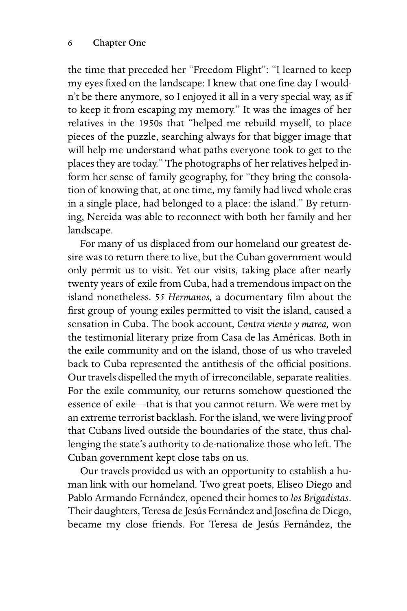the time that preceded her "Freedom Flight": "I learned to keep my eyes fixed on the landscape: I knew that one fine day I wouldn't be there anymore, so I enjoyed it all in a very special way, as if to keep it from escaping my memory." It was the images of her relatives in the 1950s that "helped me rebuild myself, to place pieces of the puzzle, searching always for that bigger image that will help me understand what paths everyone took to get to the places they are today." The photographs of her relatives helped inform her sense of family geography, for "they bring the consolation of knowing that, at one time, my family had lived whole eras in a single place, had belonged to a place: the island." By returning, Nereida was able to reconnect with both her family and her landscape.

For many of us displaced from our homeland our greatest desire was to return there to live, but the Cuban government would only permit us to visit. Yet our visits, taking place after nearly twenty years of exile from Cuba, had a tremendous impact on the island nonetheless. 5*5 Hermanos,* a documentary film about the first group of young exiles permitted to visit the island, caused a sensation in Cuba. The book account, *Contra viento y marea,* won the testimonial literary prize from Casa de las Américas. Both in the exile community and on the island, those of us who traveled back to Cuba represented the antithesis of the official positions. Our travels dispelled the myth of irreconcilable, separate realities. For the exile community, our returns somehow questioned the essence of exile—that is that you cannot return. We were met by an extreme terrorist backlash. For the island, we were living proof that Cubans lived outside the boundaries of the state, thus challenging the state's authority to de-nationalize those who left. The Cuban government kept close tabs on us.

Our travels provided us with an opportunity to establish a human link with our homeland. Two great poets, Eliseo Diego and Pablo Armando Fernández, opened their homes to *los Brigadistas*. Their daughters, Teresa de Jesús Fernández and Josefina de Diego, became my close friends. For Teresa de Jesús Fernández, the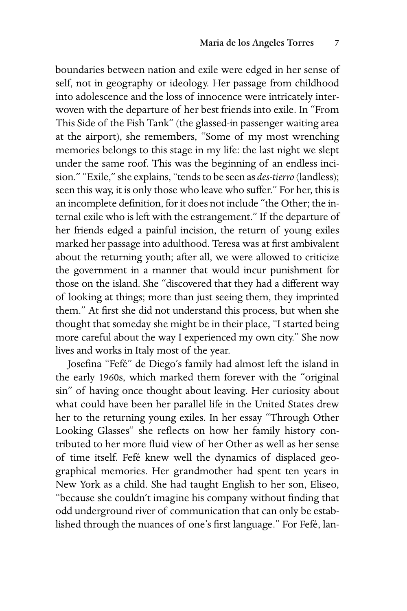boundaries between nation and exile were edged in her sense of self, not in geography or ideology. Her passage from childhood into adolescence and the loss of innocence were intricately interwoven with the departure of her best friends into exile. In "From This Side of the Fish Tank" (the glassed-in passenger waiting area at the airport), she remembers, "Some of my most wrenching memories belongs to this stage in my life: the last night we slept under the same roof. This was the beginning of an endless incision." "Exile," she explains, "tends to be seen as *des-tierro* (landless); seen this way, it is only those who leave who suffer." For her, this is an incomplete definition, for it does not include "the Other; the internal exile who is left with the estrangement." If the departure of her friends edged a painful incision, the return of young exiles marked her passage into adulthood. Teresa was at first ambivalent about the returning youth; after all, we were allowed to criticize the government in a manner that would incur punishment for those on the island. She "discovered that they had a different way of looking at things; more than just seeing them, they imprinted them." At first she did not understand this process, but when she thought that someday she might be in their place, "I started being more careful about the way I experienced my own city." She now lives and works in Italy most of the year.

Josefina "Fefé" de Diego's family had almost left the island in the early 1960s, which marked them forever with the "original sin" of having once thought about leaving. Her curiosity about what could have been her parallel life in the United States drew her to the returning young exiles. In her essay "Through Other Looking Glasses" she reflects on how her family history contributed to her more fluid view of her Other as well as her sense of time itself. Fefé knew well the dynamics of displaced geographical memories. Her grandmother had spent ten years in New York as a child. She had taught English to her son, Eliseo, "because she couldn't imagine his company without finding that odd underground river of communication that can only be established through the nuances of one's first language." For Fefé, lan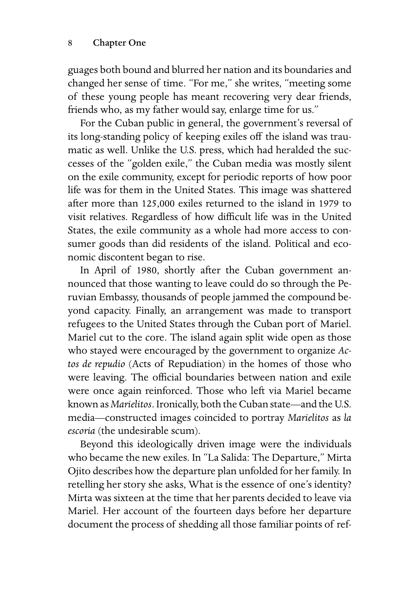guages both bound and blurred her nation and its boundaries and changed her sense of time. "For me," she writes, "meeting some of these young people has meant recovering very dear friends, friends who, as my father would say, enlarge time for us."

For the Cuban public in general, the government's reversal of its long-standing policy of keeping exiles off the island was traumatic as well. Unlike the U.S. press, which had heralded the successes of the "golden exile," the Cuban media was mostly silent on the exile community, except for periodic reports of how poor life was for them in the United States. This image was shattered after more than 125,000 exiles returned to the island in 1979 to visit relatives. Regardless of how difficult life was in the United States, the exile community as a whole had more access to consumer goods than did residents of the island. Political and economic discontent began to rise.

In April of 1980, shortly after the Cuban government announced that those wanting to leave could do so through the Peruvian Embassy, thousands of people jammed the compound beyond capacity. Finally, an arrangement was made to transport refugees to the United States through the Cuban port of Mariel. Mariel cut to the core. The island again split wide open as those who stayed were encouraged by the government to organize *Actos de repudio* (Acts of Repudiation) in the homes of those who were leaving. The official boundaries between nation and exile were once again reinforced. Those who left via Mariel became known as *Marielitos*. Ironically, both the Cuban state—and the U.S. media—constructed images coincided to portray *Marielitos* as *la escoria* (the undesirable scum).

Beyond this ideologically driven image were the individuals who became the new exiles. In "La Salida: The Departure," Mirta Ojito describes how the departure plan unfolded for her family. In retelling her story she asks, What is the essence of one's identity? Mirta was sixteen at the time that her parents decided to leave via Mariel. Her account of the fourteen days before her departure document the process of shedding all those familiar points of ref-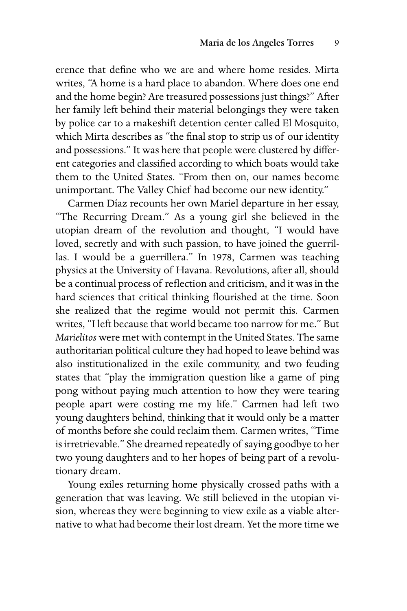erence that define who we are and where home resides. Mirta writes, "A home is a hard place to abandon. Where does one end and the home begin? Are treasured possessions just things?" After her family left behind their material belongings they were taken by police car to a makeshift detention center called El Mosquito, which Mirta describes as "the final stop to strip us of our identity and possessions." It was here that people were clustered by different categories and classified according to which boats would take them to the United States. "From then on, our names become unimportant. The Valley Chief had become our new identity."

Carmen Díaz recounts her own Mariel departure in her essay, "The Recurring Dream." As a young girl she believed in the utopian dream of the revolution and thought, "I would have loved, secretly and with such passion, to have joined the guerrillas. I would be a guerrillera." In 1978, Carmen was teaching physics at the University of Havana. Revolutions, after all, should be a continual process of reflection and criticism, and it was in the hard sciences that critical thinking flourished at the time. Soon she realized that the regime would not permit this. Carmen writes, "I left because that world became too narrow for me." But *Marielitos* were met with contempt in the United States. The same authoritarian political culture they had hoped to leave behind was also institutionalized in the exile community, and two feuding states that "play the immigration question like a game of ping pong without paying much attention to how they were tearing people apart were costing me my life." Carmen had left two young daughters behind, thinking that it would only be a matter of months before she could reclaim them. Carmen writes, "Time is irretrievable." She dreamed repeatedly of saying goodbye to her two young daughters and to her hopes of being part of a revolutionary dream.

Young exiles returning home physically crossed paths with a generation that was leaving. We still believed in the utopian vision, whereas they were beginning to view exile as a viable alternative to what had become their lost dream. Yet the more time we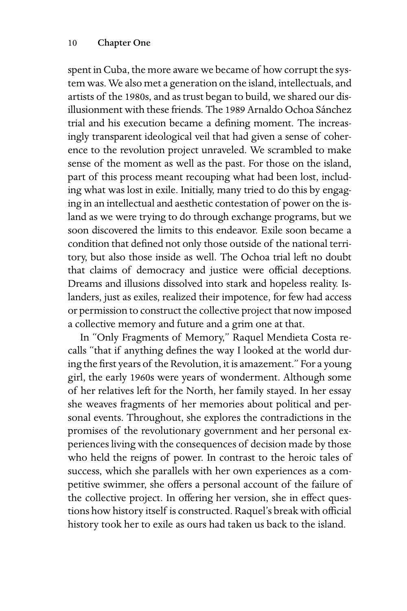spent in Cuba, the more aware we became of how corrupt the system was. We also met a generation on the island, intellectuals, and artists of the 1980s, and as trust began to build, we shared our disillusionment with these friends. The 1989 Arnaldo Ochoa Sánchez trial and his execution became a defining moment. The increasingly transparent ideological veil that had given a sense of coherence to the revolution project unraveled. We scrambled to make sense of the moment as well as the past. For those on the island, part of this process meant recouping what had been lost, including what was lost in exile. Initially, many tried to do this by engaging in an intellectual and aesthetic contestation of power on the island as we were trying to do through exchange programs, but we soon discovered the limits to this endeavor. Exile soon became a condition that defined not only those outside of the national territory, but also those inside as well. The Ochoa trial left no doubt that claims of democracy and justice were official deceptions. Dreams and illusions dissolved into stark and hopeless reality. Islanders, just as exiles, realized their impotence, for few had access or permission to construct the collective project that now imposed a collective memory and future and a grim one at that.

In "Only Fragments of Memory," Raquel Mendieta Costa recalls "that if anything defines the way I looked at the world during the first years of the Revolution, it is amazement." For a young girl, the early 1960s were years of wonderment. Although some of her relatives left for the North, her family stayed. In her essay she weaves fragments of her memories about political and personal events. Throughout, she explores the contradictions in the promises of the revolutionary government and her personal experiences living with the consequences of decision made by those who held the reigns of power. In contrast to the heroic tales of success, which she parallels with her own experiences as a competitive swimmer, she offers a personal account of the failure of the collective project. In offering her version, she in effect questions how history itself is constructed. Raquel's break with official history took her to exile as ours had taken us back to the island.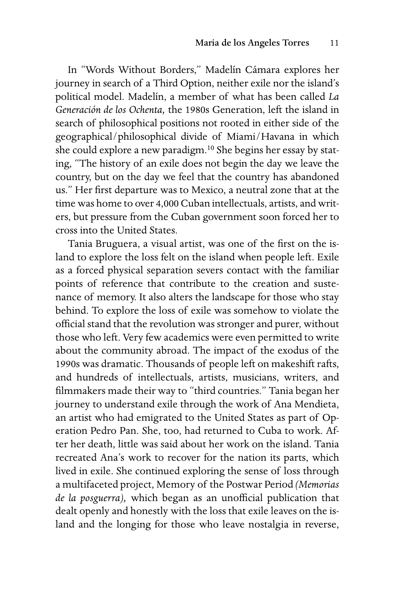In "Words Without Borders," Madelín Cámara explores her journey in search of a Third Option, neither exile nor the island's political model. Madelín, a member of what has been called *La Generación de los Ochenta,* the 1980s Generation, left the island in search of philosophical positions not rooted in either side of the geographical/philosophical divide of Miami/Havana in which she could explore a new paradigm.<sup>10</sup> She begins her essay by stating, "The history of an exile does not begin the day we leave the country, but on the day we feel that the country has abandoned us." Her first departure was to Mexico, a neutral zone that at the time was home to over 4,000 Cuban intellectuals, artists, and writers, but pressure from the Cuban government soon forced her to cross into the United States.

Tania Bruguera, a visual artist, was one of the first on the island to explore the loss felt on the island when people left. Exile as a forced physical separation severs contact with the familiar points of reference that contribute to the creation and sustenance of memory. It also alters the landscape for those who stay behind. To explore the loss of exile was somehow to violate the official stand that the revolution was stronger and purer, without those who left. Very few academics were even permitted to write about the community abroad. The impact of the exodus of the 1990s was dramatic. Thousands of people left on makeshift rafts, and hundreds of intellectuals, artists, musicians, writers, and filmmakers made their way to "third countries." Tania began her journey to understand exile through the work of Ana Mendieta, an artist who had emigrated to the United States as part of Operation Pedro Pan. She, too, had returned to Cuba to work. After her death, little was said about her work on the island. Tania recreated Ana's work to recover for the nation its parts, which lived in exile. She continued exploring the sense of loss through a multifaceted project, Memory of the Postwar Period *(Memorias de la posguerra),* which began as an unofficial publication that dealt openly and honestly with the loss that exile leaves on the island and the longing for those who leave nostalgia in reverse,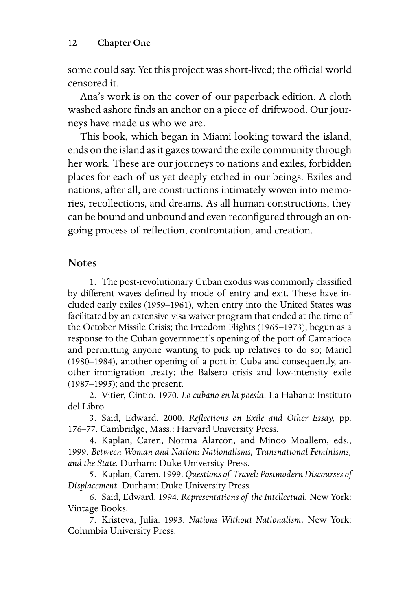some could say. Yet this project was short-lived; the official world censored it.

Ana's work is on the cover of our paperback edition. A cloth washed ashore finds an anchor on a piece of driftwood. Our journeys have made us who we are.

This book, which began in Miami looking toward the island, ends on the island as it gazes toward the exile community through her work. These are our journeys to nations and exiles, forbidden places for each of us yet deeply etched in our beings. Exiles and nations, after all, are constructions intimately woven into memories, recollections, and dreams. As all human constructions, they can be bound and unbound and even reconfigured through an ongoing process of reflection, confrontation, and creation.

# **Notes**

1. The post-revolutionary Cuban exodus was commonly classified by different waves defined by mode of entry and exit. These have included early exiles (1959–1961), when entry into the United States was facilitated by an extensive visa waiver program that ended at the time of the October Missile Crisis; the Freedom Flights (1965–1973), begun as a response to the Cuban government's opening of the port of Camarioca and permitting anyone wanting to pick up relatives to do so; Mariel (1980–1984), another opening of a port in Cuba and consequently, another immigration treaty; the Balsero crisis and low-intensity exile (1987–1995); and the present.

2. Vitier, Cintio. 1970. *Lo cubano en la poesía*. La Habana: Instituto del Libro.

3. Said, Edward. 2000. *Reflections on Exile and Other Essay,* pp. 176–77. Cambridge, Mass.: Harvard University Press.

4. Kaplan, Caren, Norma Alarcón, and Minoo Moallem, eds., 1999. *Between Woman and Nation: Nationalisms, Transnational Feminisms, and the State.* Durham: Duke University Press.

5. Kaplan, Caren. 1999. *Questions of Travel: Postmodern Discourses of Displacement.* Durham: Duke University Press.

6. Said, Edward. 1994. *Representations of the Intellectual.* New York: Vintage Books.

7. Kristeva, Julia. 1993. *Nations Without Nationalism.* New York: Columbia University Press.